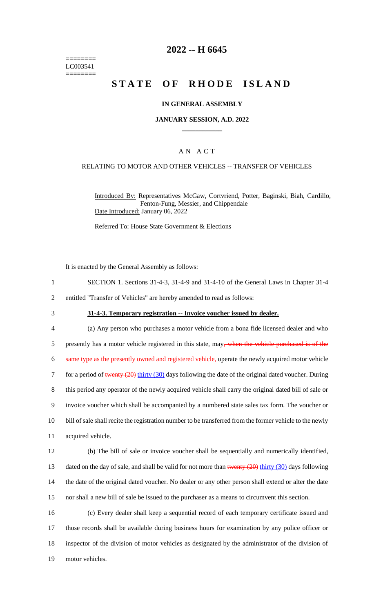======== LC003541 ========

# **2022 -- H 6645**

# **STATE OF RHODE ISLAND**

### **IN GENERAL ASSEMBLY**

### **JANUARY SESSION, A.D. 2022 \_\_\_\_\_\_\_\_\_\_\_\_**

### A N A C T

### RELATING TO MOTOR AND OTHER VEHICLES -- TRANSFER OF VEHICLES

Introduced By: Representatives McGaw, Cortvriend, Potter, Baginski, Biah, Cardillo, Fenton-Fung, Messier, and Chippendale Date Introduced: January 06, 2022

Referred To: House State Government & Elections

It is enacted by the General Assembly as follows:

1 SECTION 1. Sections 31-4-3, 31-4-9 and 31-4-10 of the General Laws in Chapter 31-4

2 entitled "Transfer of Vehicles" are hereby amended to read as follows:

### 3 **31-4-3. Temporary registration -- Invoice voucher issued by dealer.**

 (a) Any person who purchases a motor vehicle from a bona fide licensed dealer and who 5 presently has a motor vehicle registered in this state, may<del>, when the vehicle purchased is of the</del> same type as the presently owned and registered vehicle, operate the newly acquired motor vehicle 7 for a period of twenty (20) thirty (30) days following the date of the original dated voucher. During this period any operator of the newly acquired vehicle shall carry the original dated bill of sale or invoice voucher which shall be accompanied by a numbered state sales tax form. The voucher or bill of sale shall recite the registration number to be transferred from the former vehicle to the newly acquired vehicle. (b) The bill of sale or invoice voucher shall be sequentially and numerically identified, 13 dated on the day of sale, and shall be valid for not more than twenty  $(20)$  thirty  $(30)$  days following the date of the original dated voucher. No dealer or any other person shall extend or alter the date

15 nor shall a new bill of sale be issued to the purchaser as a means to circumvent this section.

 (c) Every dealer shall keep a sequential record of each temporary certificate issued and those records shall be available during business hours for examination by any police officer or inspector of the division of motor vehicles as designated by the administrator of the division of motor vehicles.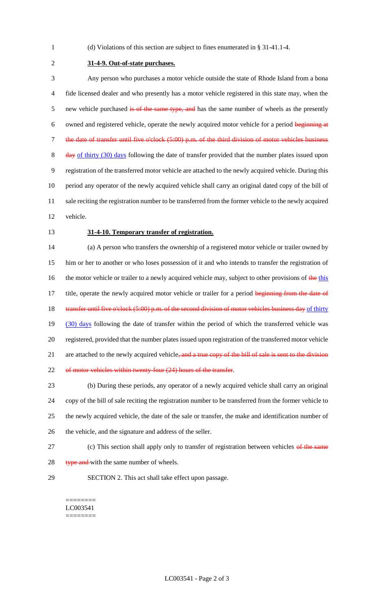1 (d) Violations of this section are subject to fines enumerated in § 31-41.1-4.

2 **31-4-9. Out-of-state purchases.**

3 Any person who purchases a motor vehicle outside the state of Rhode Island from a bona 4 fide licensed dealer and who presently has a motor vehicle registered in this state may, when the 5 new vehicle purchased is of the same type, and has the same number of wheels as the presently 6 owned and registered vehicle, operate the newly acquired motor vehicle for a period beginning at 7 the date of transfer until five o'clock (5:00) p.m. of the third division of motor vehicles business 8 day of thirty (30) days following the date of transfer provided that the number plates issued upon 9 registration of the transferred motor vehicle are attached to the newly acquired vehicle. During this 10 period any operator of the newly acquired vehicle shall carry an original dated copy of the bill of 11 sale reciting the registration number to be transferred from the former vehicle to the newly acquired 12 vehicle.

#### 13 **31-4-10. Temporary transfer of registration.**

14 (a) A person who transfers the ownership of a registered motor vehicle or trailer owned by 15 him or her to another or who loses possession of it and who intends to transfer the registration of 16 the motor vehicle or trailer to a newly acquired vehicle may, subject to other provisions of the this 17 title, operate the newly acquired motor vehicle or trailer for a period beginning from the date of 18 transfer until five o'clock (5:00) p.m. of the second division of motor vehicles business day of thirty 19 (30) days following the date of transfer within the period of which the transferred vehicle was 20 registered, provided that the number plates issued upon registration of the transferred motor vehicle 21 are attached to the newly acquired vehicle, and a true copy of the bill of sale is sent to the division 22 of motor vehicles within twenty-four (24) hours of the transfer.

 (b) During these periods, any operator of a newly acquired vehicle shall carry an original copy of the bill of sale reciting the registration number to be transferred from the former vehicle to the newly acquired vehicle, the date of the sale or transfer, the make and identification number of the vehicle, and the signature and address of the seller.

- 27 (c) This section shall apply only to transfer of registration between vehicles of the same
- 28 type and with the same number of wheels.
- 
- 29 SECTION 2. This act shall take effect upon passage.

======== LC003541 ========